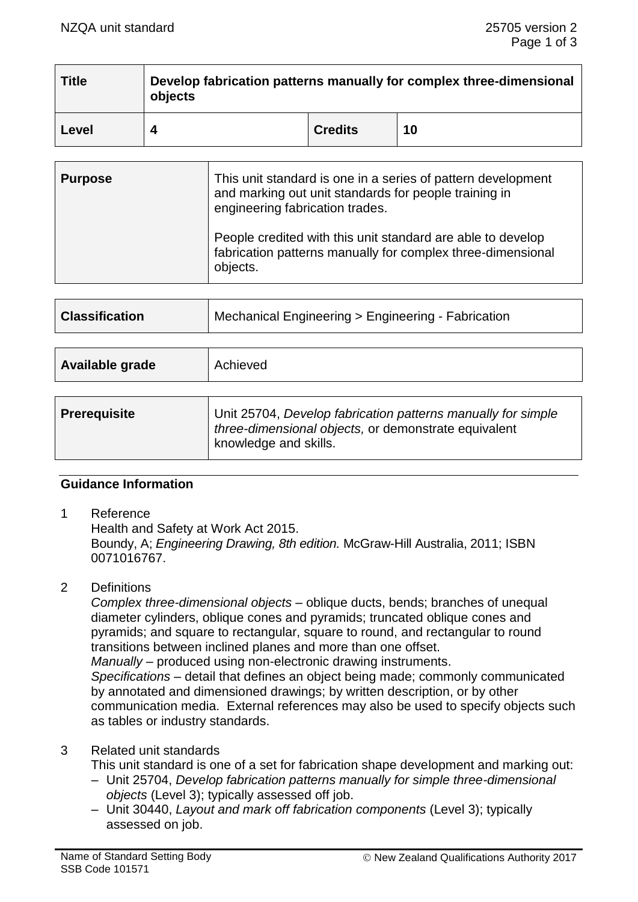| <b>Title</b> | Develop fabrication patterns manually for complex three-dimensional<br>objects |                |    |
|--------------|--------------------------------------------------------------------------------|----------------|----|
| Level        |                                                                                | <b>Credits</b> | 10 |

| <b>Purpose</b> | This unit standard is one in a series of pattern development<br>and marking out unit standards for people training in<br>engineering fabrication trades. |  |
|----------------|----------------------------------------------------------------------------------------------------------------------------------------------------------|--|
|                | People credited with this unit standard are able to develop<br>fabrication patterns manually for complex three-dimensional<br>objects.                   |  |

| <b>Classification</b> | Mechanical Engineering > Engineering - Fabrication                                                                                            |  |
|-----------------------|-----------------------------------------------------------------------------------------------------------------------------------------------|--|
|                       |                                                                                                                                               |  |
| Available grade       | Achieved                                                                                                                                      |  |
|                       |                                                                                                                                               |  |
| <b>Prerequisite</b>   | Unit 25704, Develop fabrication patterns manually for simple<br>three-dimensional objects, or demonstrate equivalent<br>knowledge and skills. |  |

# **Guidance Information**

1 Reference

Health and Safety at Work Act 2015. Boundy, A; *Engineering Drawing, 8th edition.* McGraw-Hill Australia, 2011; ISBN 0071016767.

2 Definitions

*Complex three-dimensional objects –* oblique ducts, bends; branches of unequal diameter cylinders, oblique cones and pyramids; truncated oblique cones and pyramids; and square to rectangular, square to round, and rectangular to round transitions between inclined planes and more than one offset. *Manually* – produced using non-electronic drawing instruments. *Specifications –* detail that defines an object being made; commonly communicated by annotated and dimensioned drawings; by written description, or by other communication media. External references may also be used to specify objects such as tables or industry standards.

# 3 Related unit standards

This unit standard is one of a set for fabrication shape development and marking out:

- Unit 25704, *Develop fabrication patterns manually for simple three-dimensional objects* (Level 3); typically assessed off job.
- Unit 30440, *Layout and mark off fabrication components* (Level 3); typically assessed on job.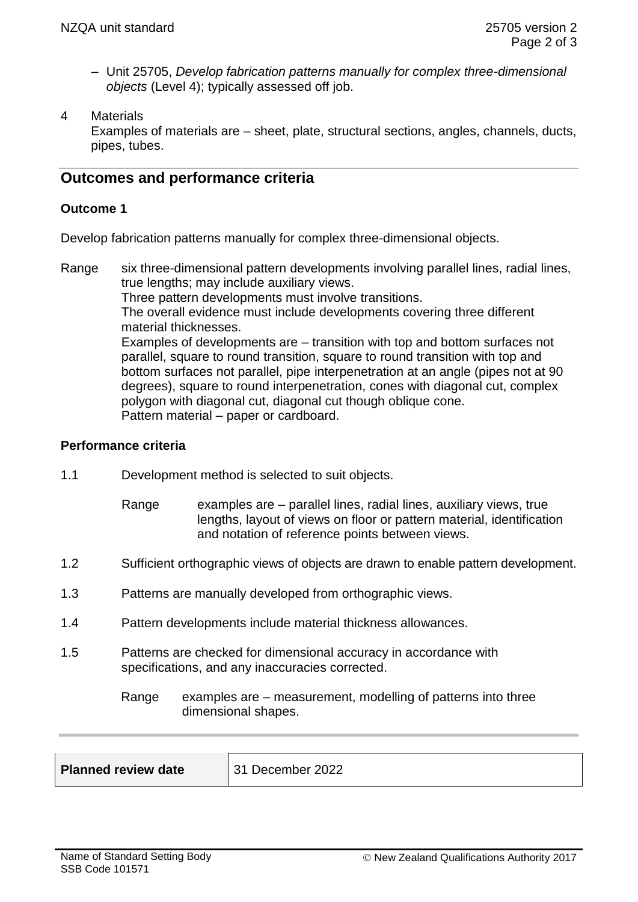- Unit 25705, *Develop fabrication patterns manually for complex three-dimensional objects* (Level 4); typically assessed off job.
- 4 Materials

Examples of materials are – sheet, plate, structural sections, angles, channels, ducts, pipes, tubes.

# **Outcomes and performance criteria**

## **Outcome 1**

Develop fabrication patterns manually for complex three-dimensional objects.

Range six three-dimensional pattern developments involving parallel lines, radial lines, true lengths; may include auxiliary views. Three pattern developments must involve transitions. The overall evidence must include developments covering three different material thicknesses. Examples of developments are – transition with top and bottom surfaces not parallel, square to round transition, square to round transition with top and bottom surfaces not parallel, pipe interpenetration at an angle (pipes not at 90 degrees), square to round interpenetration, cones with diagonal cut, complex polygon with diagonal cut, diagonal cut though oblique cone. Pattern material – paper or cardboard.

### **Performance criteria**

- 1.1 Development method is selected to suit objects.
	- Range examples are parallel lines, radial lines, auxiliary views, true lengths, layout of views on floor or pattern material, identification and notation of reference points between views.
- 1.2 Sufficient orthographic views of objects are drawn to enable pattern development.
- 1.3 Patterns are manually developed from orthographic views.
- 1.4 Pattern developments include material thickness allowances.
- 1.5 Patterns are checked for dimensional accuracy in accordance with specifications, and any inaccuracies corrected.
	- Range examples are measurement, modelling of patterns into three dimensional shapes.

| <b>Planned review date</b> | 31 December 2022 |
|----------------------------|------------------|
|                            |                  |